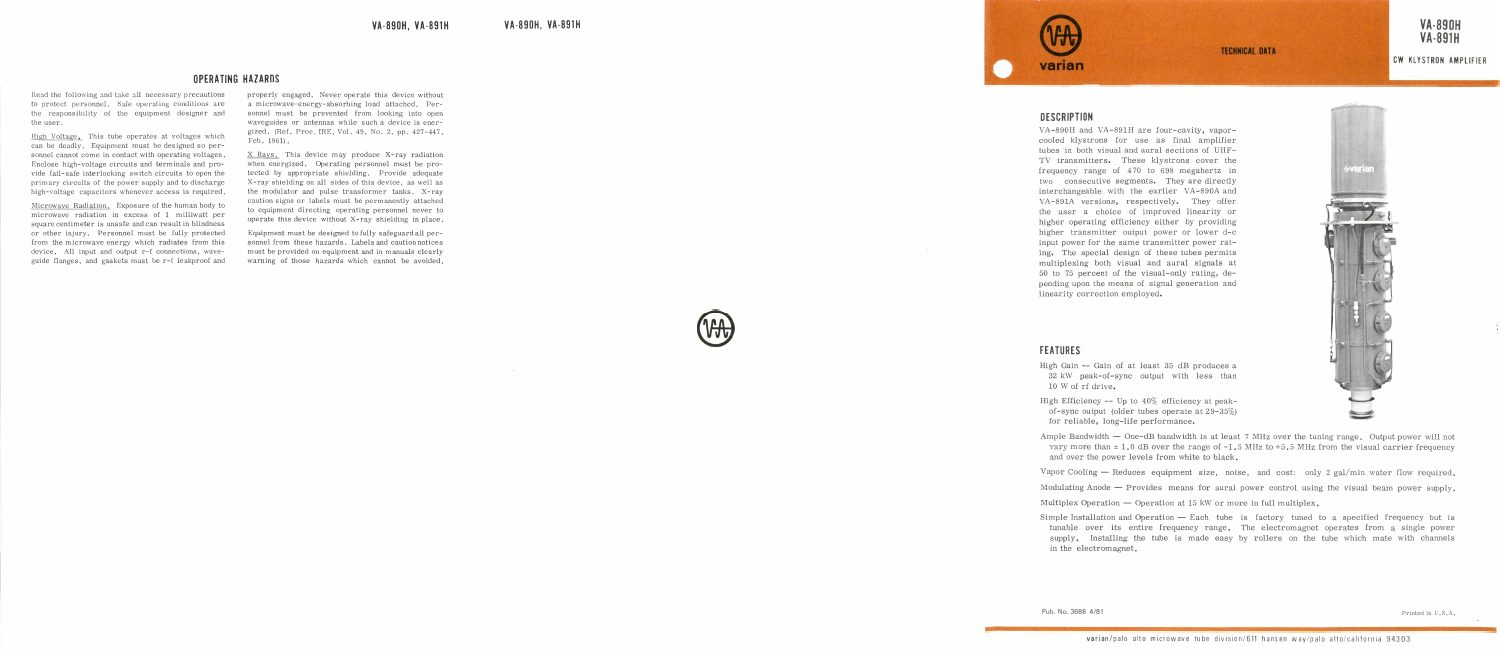# **OPERATING HAZARDS**

Read the following and take all necessary precautions<br>to protect personnel. Safe operating conditions are<br>the responsibility of the equipment designer and<br>the user. to protect personnel. Safe operating conditions arethe responsibility of the equipment designer ar<br>the\_user.<br><u>High\_Voltage.</u> This\_tube\_operates\_at\_voltages\_whic<br>can\_be\_deadly. Equipment\_must\_be\_designed\_so\_per

the responsibility of the equipment designer and<br>the user.<br>High Voltage. This tube operates at voltages which<br>can be deadly. Equipment must be designed so per-<br>sonnel cannot come in contact with operating voltages.<br>Englace sonnel cannot come in contact with operating voltages.<br>Enclose high-voltage circuits and terminals and pro-<br>vide fail-safe interlocking switch circuits to open the primary circuits of the power supply and to discharge<br>high-voltage capacitors whenever access is required. primary circuits of the power supply and to discharge<br>high-voltage capacitors whenever access is required.<br>Microwaye Radiation, Exposure of the human body to<br>microwaye radiation in excess of 1 milliwatt per

high-voltage capacitors whenever access is required.<br>Microwave Radiation. Exposure of the human body to<br>microwave radiation in excess of 1 milliwatt per<br>square centimeter is unsafe and can result in blindness microwave radiation in excess of 1 milliwatt per square centimeter is unsafe and can result in blindness or other injury. Personnel must be fully protected from the microwave energy which radiates from this device. All inp from the microwave energy which radiates from this device. All input and output r-f connections, wave-<br>guide flanges, and gaskets must be r-f leakproof and<br>guide flanges, and gaskets must be r-f leakproof and guide flanges, and gaskets must be r-f leakproof and





THE MAZARE Weight of the state of the control of the control of the control of the control of the control of the control of the control of the control of the control of the control of the control of the control of the con pending upon the means of signal generation andlinearity correction employed.

# FEATURES

- High Gain -- Gain of at least 35 dB produces a<br>32 kW peak-of-sync output with less than<br>10 W of rf drive.
- 32 kW peak-of-sync output with less than 10 W of rf drive.<br>High Efficiency -- Up to  $40\%$  efficiency at peak-<br>of-sync output (older tubes operate at 29-35%)<br>for reliable, long-life performance. of-sync output (older tubes operate at  $29-35\%$ ) for reliable, long-life performance.
- Ample Bandwidth  $-$  One-dB bandwidth is at least 7 MHz over the tuning range. Output power will not Ample Bandwidth - One-dB bandwidth is at least 7 MHz over the tuning range. Output power will not vary more than  $\pm$  1.0 dB over the range of -1.5 MHz to +5.5 MHz from the visual carrier frequency and over the power leve

- and over the power levels from white to black.<br>Vapor Cooling Reduces equipment size, noise, and cost: only 2 gal/min water flow required.<br>Modulating Anode Provides means for aural power control using the visual beam po
- Multiplex Operation  $-$  Operation at 15 kW or more in full multiplex.
- Simple Installation and Operation  $-$  Each tube is factory tuned to tunable over its entire frequency range. The electromagnet supply. Installing the tube is made easy by rollers on the  $t$  in the electromagnet. tunable over its entire frequency range. The electromagnet operates from a single power supply. Installing the tube is made easy by rollers on the tube which mate with channels in the electromagnet.

Pub. No. 3688 4/81

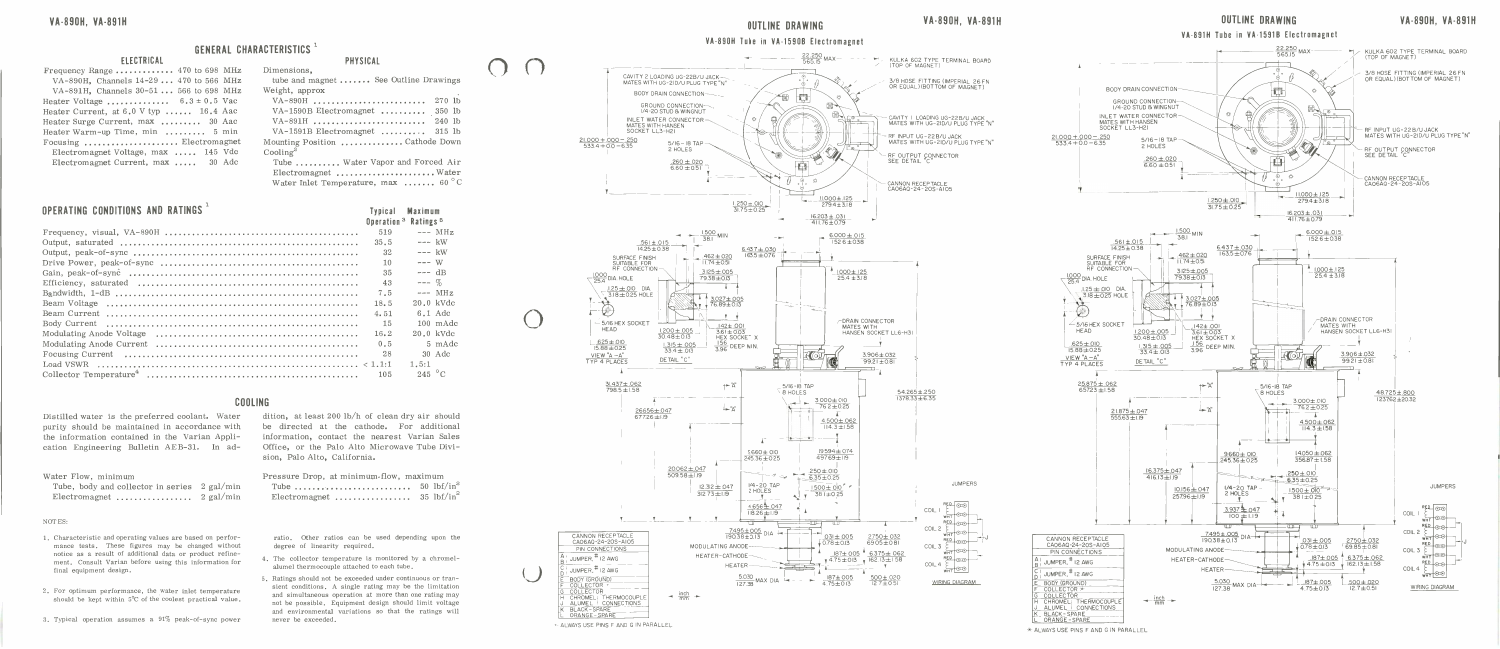# GENERAL CHARACTERISTICS

|  | <b>ELECTRICAL</b> |  |
|--|-------------------|--|

| <b>GENERAL CI</b>                               |  |
|-------------------------------------------------|--|
| <b>ELECTRICAL</b>                               |  |
| Frequency Range  470 to 698 MHz                 |  |
| VA-890H, Channels 14-29  470 to 566 MHz         |  |
| VA-891H, Channels 30-51  566 to 698 MHz         |  |
| Heater Voltage $6.3 \pm 0.5$ Vac                |  |
| Heater Current, at $6.0 \text{ V typ}$ 16.4 Aac |  |
| Heater Surge Current, max  30 Aac               |  |
| Heater Warm-up Time, min  5 min                 |  |
| Focusing  Electromagnet                         |  |
| Electromagnet Voltage, max  145 Vdc             |  |
| Electromagnet Current, max  30 Adc              |  |

| <b>ELECTRICAL</b>                               | <b>GENERAL CHARACTERISTICS</b> <sup>1</sup><br><b>PHYSICAL</b> |
|-------------------------------------------------|----------------------------------------------------------------|
| Frequency Range  470 to 698 MHz                 | Dimensions.                                                    |
| VA-890H, Channels 14-29  470 to 566 MHz         | tube and magnet  See Outline Drawings                          |
| VA-891H, Channels $30-51$ 566 to 698 MHz        | Weight, approx                                                 |
| Heater Voltage $6.3 \pm 0.5$ Vac                | VA-890H  270 lb                                                |
| Heater Current, at $6.0 \text{ V typ}$ 16.4 Aac | VA-1590B Electromagnet  350 lb                                 |
| Heater Surge Current, max  30 Aac               | VA-891H  240 lb                                                |
| Heater Warm-up Time, min  5 min                 | VA-1591B Electromagnet $\dots \dots$ 315 lb                    |
| Focusing  Electromagnet                         | Mounting Position Cathode Down                                 |
| Electromagnet Voltage, max  145 Vdc             | $\text{Cooling}^2$                                             |
| Electromagnet Current, max  30 Adc              | Tube  Water Vapor and Forced Air                               |
|                                                 | Electromagnet  Water                                           |
|                                                 | Water Inlet Temperature, max  60 $^{\circ}$ C                  |

# March Conditions And<br>DPERATING CONDITIONS AND<br>Frequency, visual, VA-890H **DPERATING COND**<br>Frequency, visua<br>Output, saturated

Distilled water is the preferred coolant. Water C<br>Distilled water is the preferred coolant. Water<br>purity should be maintained in accordance with Distilled water is the preferred coolant. Water<br>purity should be maintained in accordance with<br>the information contained in the Varian Appli-Distilled water is the preterred coolant. Water<br>purity should be maintained in accordance with<br>the information contained in the Varian Appli-<br>cation Engineering Bulletin AEB-31. In ad-Distilled water is the<br>purity should be main<br>the information contai<br>cation Engineering B<br>Water Flow, minimum the information contained in the Varian Application Engineering Bulletin AEB-31. In ad-

Output, peak -of -sync Typical Maximum Operation. Ratings <sup>519</sup> --- MHz 35.5 --- kW 32 kW Drive Power, peak -of -sync 10

|                                                                                                                      | 35.5  | $---k$            |                |
|----------------------------------------------------------------------------------------------------------------------|-------|-------------------|----------------|
|                                                                                                                      | 32    | $---$ kW          |                |
|                                                                                                                      | 10    | $--- W$           |                |
| Gain, peak-of-sync $\dots \dots \dots \dots \dots \dots \dots \dots \dots \dots \dots \dots \dots \dots \dots \dots$ | 35    | $--- dB$          |                |
|                                                                                                                      | 43    | $---  \%$         |                |
|                                                                                                                      | 7.5   | $---$ MH          |                |
|                                                                                                                      | 18.5  | $20.0 \text{ kV}$ |                |
|                                                                                                                      | 4.51  | $6.1$ Ad          |                |
|                                                                                                                      | $-15$ | $100 \text{ mA}$  |                |
|                                                                                                                      | 16.2  | $20.0 \text{ kV}$ |                |
|                                                                                                                      | 0.5   |                   | $5 \text{ mA}$ |
|                                                                                                                      | 28    |                   | $30$ Ad        |
|                                                                                                                      |       | 1.5:1             |                |
|                                                                                                                      | 105   | 245 $^{\circ}$ C  |                |
|                                                                                                                      |       |                   |                |
| COOLING                                                                                                              |       |                   |                |
|                                                                                                                      |       |                   |                |

| ater Flow, minimum                           |  |
|----------------------------------------------|--|
| Tube, body and collector in series 2 gal/min |  |
| Electromagnet $2 \text{ gal/min}$            |  |

NOTES:

- 10TES:<br>1. Characteristic and operating values are based on perfor-Characteristic and operating values are based on perfor-<br>mance tests. These figures may be changed without<br>notice as a result of additional data or product refine-Characteristic and operating values are based on perfor-<br>mance tests. These figures may be changed without<br>notice as a result of additional data or product refine-<br>ment. Consult Varian before using this information for final equipment design.<br>2. For optimum performance, the water inlet temperature<br>2. For optimum performance, the water inlet temperature
- 2. For optimum performance, the water inlet temperature should be kept within  $5^{\circ}$ C of the coolest practical value.
- 

| Pressure Drop, at minimum flow, maximum |  |  |  |  |  |  |  |                       |
|-----------------------------------------|--|--|--|--|--|--|--|-----------------------|
|                                         |  |  |  |  |  |  |  | $50 \text{ lbf/in}^2$ |
| Electromagnet  35 $\text{lbf/in}^2$     |  |  |  |  |  |  |  |                       |

- 
- 







 $*$  ALWAYS USE PINS F AND G IN PARALLEL

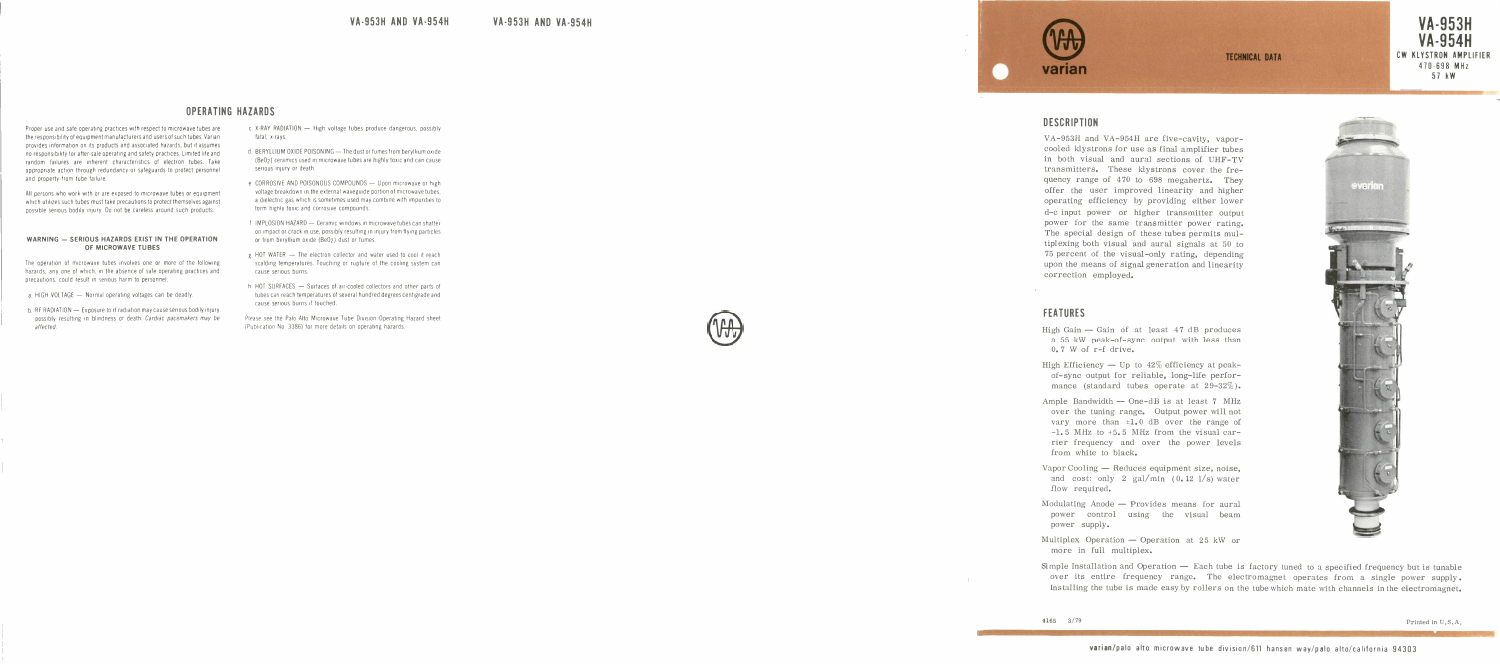# **OPERATING HAZARDS**

Proper use and safe operating practices with respect to microwave tubes are<br>the responsibility of equipment manufacturers and users of such tubes. Varian<br>provides information on its products and associated hazards, but it random failures are inherent characteristics of electron tubes. Take<br>appropriate action through redundancy or safeguards to protect personnel<br>and property from tube failure. random - failures - are - inherent - characteristics - of - electron - tubes. Take<br>appropriate - action - through - redundancy or safeguards to protect personnel<br>and - property from - tube- failure.<br>All persons - who - wor

which utilizes such tubes must take precautions to protect themselves against possible serious bodily injury. Do not be careless around such products

# WARNING - SERIOUS HAZARDS EXIST IN THE OPERATION

OF MICROWAVE TUBES<br>wave tubes involves one or more of the follow<br>inch, in the absence of safe operating practices a<br>lit in serious harm to personnel: The operation of microwave tubes involves one or more of the following hazards, any one of which, in the absence of safe operating practices and precautions, could result in serious harm to personnel:<br>a. HIGH VOLTAGE — Nor precautions, could result in serious harm to personnel:<br>a. HIGH VOLTAGE — Normal operating voltages can be deadly.<br>b. RERADIATION — Exposure to rf radiation may cause serious bodily injury

- 
- b, RF RADIATION Exposure to rf radiation may cause serious bodily injury<br>possibly resulting in blindness or death. *Cardiac pacemakers may be* possibly resulting in blindness or death. Cardiac pacemakers may be affected
- 
- 
- 
- 
- 
- 





VA -953H AND VA 954H HAZARDS <sup>c</sup> X-RAY RADIATION - High voltage tubes produce dangerous, possibly fatal x-rays d BERYLLIUM OXIDE POISONING - The dust or umes trom beryllium mode Heir) ceramics used in microwave tubes are highly toxic and can cause serious injury or death e CORROSIVE AND POISONOUS COMPOUNDS - Upon microwave or high voltage breakdown in the external waveguide portion of microwave tubes, a dielectric gas which is sometimes used may combine with impurities to form highly toxic and corrosive compounds <sup>I</sup> IMPLOSION HAZARD - Ceramic windows in microwave tubes can shatter on Impactor crack in use. possibly resulting in iniury from flying particles or from beryllium oxide (Be0z) dust or fumes. g. HOT WATER - The electron collector and water used to cool it reach scalding temperatures. inching or rupture of the cooling system can cause serious burns. <sup>h</sup> HOT SURFACES - Surfaces of air-cooled collectors and other parts of tubes can reach temperatures of several hundred degrees centigrade and cause serious burns if touched. Please see the Palo Alm Microwave Tube Division Operating Hazard sheet (Publfcation No 33861 ter more details on operating hazards VA -953H AND VA -954H ECHNICAL DATA varian DESCRIPTION VA -953H and VA -954H are five-cavity, vapor- cooled klystrons for use as final amplifier tubes in both visual and aural sections of UHF-TV transmitters. These klystrons cover the fre- quency range of 470 to 698 megahertz. They offer the user improved linearity and higher operating efficiency by providing either lower d-c input power or higher transmitter output power for the same transmitter power rating. The special design of these tubes permits mul- tiplexing both visual and aural signals at 50 to 75 percent of the visual-only rating, depending upon the means of signal generation and linearity correction employed. FEATURES

- High Gain -- Gain of at least  $47$  dB produces<br>a 55 kW peak-of-sync output with less than<br>0.7 W of r-f drive. a 55 kW peak-of-sync output with less than<br>0.7 W of r-f drive.<br>gh Efficiency — Up to  $42\%$  efficiency at peak-<br>of sune quinut for reliable large life perfor-
- 0.7 W of r-f drive.<br>High Efficiency Up to  $42\%$  efficiency at peak-<br>of-sync output for reliable, long-life perfor-<br>mance (standard tubes operate at  $29-32\%$ ) of-sync output for reliable, long-life perfor-<br>mance (standard tubes operate at  $29-32\%$ ).
- Ample Bandwidth  $-$  One-dB is at least 7 MHz over the tuning range. Output power will not over the tuning range. Output power will not<br>vary more than  $\pm 1.0$  dB over the range of<br> $-1.5$  MHz to  $+5.5$  MHz from the visual car-<br>rier frequency and over the power levels<br>from white to black -1.5 MHz to +5.5 MHz from the visual car-<br>rier frequency and over the power levels<br>from white to black. rier frequency and over the power level<br>from white to black.<br>porCooling — Reduces equipment size, noise
- from white to black.<br>Vapor Cooling Reduces equipment size, noise, and cost: only 2 gal/min  $(0.12 \frac{1}{s})$  water flow required.
- and cost: only 2 gal/min  $(0.12 \text{ l/s})$  water<br>flow required.<br>Modulating Anode Provides means for aural<br>power control using the visual beam<br>nower sunnly. power control using the visual beam<br>power supply.
- power supply.<br>
Multiplex Operation Operation at 25 kW<br>
more in full multiplex.<br>
Simple Installation and Operation -- Each tube<br>
over its entire frequency range. The e<br>
Installing the tube is made easy by rollers or ultiplex Operation — Operation at 25 kW or<br>more in full multiplex.<br>mple Installation and Operation — Each tube is<br>over its entire frequency range. The ele<br>Installing the tube is made easy by rollers on t